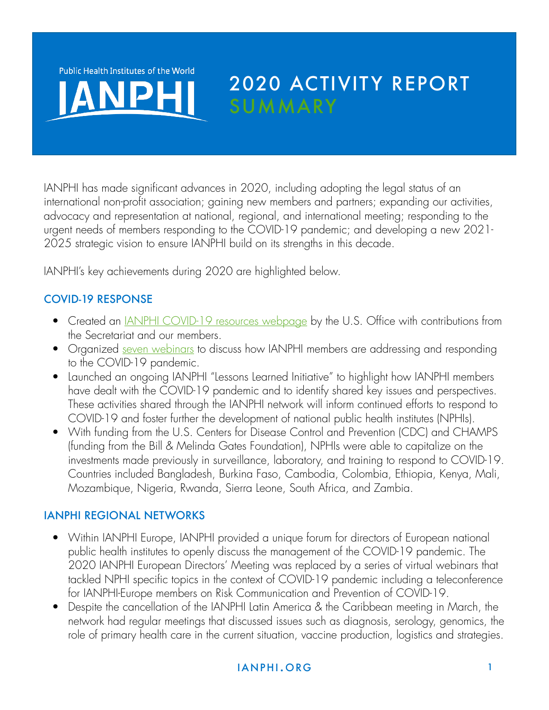Public Health Institutes of the World

# 2020 ACTIVITY REPORT **SUMMARY**

IANPHI has made significant advances in 2020, including adopting the legal status of an international non-profit association; gaining new members and partners; expanding our activities, advocacy and representation at national, regional, and international meeting; responding to the urgent needs of members responding to the COVID-19 pandemic; and developing a new 2021- 2025 strategic vision to ensure IANPHI build on its strengths in this decade.

IANPHI's key achievements during 2020 are highlighted below.

# COVID-19 RESPONSE

- Created an *JANPHI COVID-19* resources webpage by the U.S. Office with contributions from the Secretariat and our members.
- Organized [seven webinars](https://www.ianphi.org/news/2020/covid-webinars.html) to discuss how IANPHI members are addressing and responding to the COVID-19 pandemic.
- Launched an ongoing IANPHI "Lessons Learned Initiative" to highlight how IANPHI members have dealt with the COVID-19 pandemic and to identify shared key issues and perspectives. These activities shared through the IANPHI network will inform continued efforts to respond to COVID-19 and foster further the development of national public health institutes (NPHIs).
- With funding from the U.S. Centers for Disease Control and Prevention (CDC) and CHAMPS (funding from the Bill & Melinda Gates Foundation), NPHIs were able to capitalize on the investments made previously in surveillance, laboratory, and training to respond to COVID-19. Countries included Bangladesh, Burkina Faso, Cambodia, Colombia, Ethiopia, Kenya, Mali, Mozambique, Nigeria, Rwanda, Sierra Leone, South Africa, and Zambia.

#### IANPHI REGIONAL NETWORKS

- Within IANPHI Europe, IANPHI provided a unique forum for directors of European national public health institutes to openly discuss the management of the COVID-19 pandemic. The 2020 IANPHI European Directors' Meeting was replaced by a series of virtual webinars that tackled NPHI specific topics in the context of COVID-19 pandemic including a teleconference for IANPHI-Europe members on Risk Communication and Prevention of COVID-19.
- Despite the cancellation of the IANPHI Latin America & the Caribbean meeting in March, the network had regular meetings that discussed issues such as diagnosis, serology, genomics, the role of primary health care in the current situation, vaccine production, logistics and strategies.

# i an p hi an p hi an p hi an p hi an p hi an p hi an p hi an p hi an p hi an p hi an p hi an p hi an p hi an p h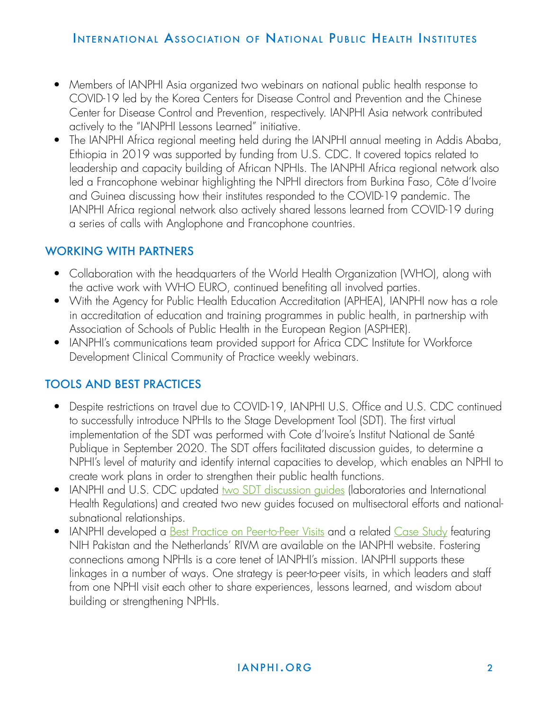- Members of IANPHI Asia organized two webinars on national public health response to COVID-19 led by the Korea Centers for Disease Control and Prevention and the Chinese Center for Disease Control and Prevention, respectively. IANPHI Asia network contributed actively to the "IANPHI Lessons Learned" initiative.
- The IANPHI Africa regional meeting held during the IANPHI annual meeting in Addis Ababa, Ethiopia in 2019 was supported by funding from U.S. CDC. It covered topics related to leadership and capacity building of African NPHIs. The IANPHI Africa regional network also led a Francophone webinar highlighting the NPHI directors from Burkina Faso, Côte d'Ivoire and Guinea discussing how their institutes responded to the COVID-19 pandemic. The IANPHI Africa regional network also actively shared lessons learned from COVID-19 during a series of calls with Anglophone and Francophone countries.

#### WORKING WITH PARTNERS

- Collaboration with the headquarters of the World Health Organization (WHO), along with the active work with WHO EURO, continued benefiting all involved parties.
- With the Agency for Public Health Education Accreditation (APHEA), IANPHI now has a role in accreditation of education and training programmes in public health, in partnership with Association of Schools of Public Health in the European Region (ASPHER).
- IANPHI's communications team provided support for Africa CDC Institute for Workforce Development Clinical Community of Practice weekly webinars.

#### TOOLS AND BEST PRACTICES

- Despite restrictions on travel due to COVID-19, IANPHI U.S. Office and U.S. CDC continued to successfully introduce NPHIs to the Stage Development Tool (SDT). The first virtual implementation of the SDT was performed with Cote d'Ivoire's Institut National de Santé Publique in September 2020. The SDT offers facilitated discussion guides, to determine a NPHI's level of maturity and identify internal capacities to develop, which enables an NPHI to create work plans in order to strengthen their public health functions.
- IANPHI and U.S. CDC updated two SDT discussion quides (laboratories and International Health Regulations) and created two new guides focused on multisectoral efforts and nationalsubnational relationships.
- IANPHI developed a <u>Best Practice on Peer-to-Peer Visits</u> and a related <u>[Case Study](https://www.ianphi.org/_includes/documents/sections/tools-resources/best-practices-case-studies/bp-cs-pakistan-netherlands-final.pdf)</u> featuring NIH Pakistan and the Netherlands' RIVM are available on the IANPHI website. Fostering connections among NPHIs is a core tenet of IANPHI's mission. IANPHI supports these linkages in a number of ways. One strategy is peer-to-peer visits, in which leaders and staff from one NPHI visit each other to share experiences, lessons learned, and wisdom about building or strengthening NPHIs.